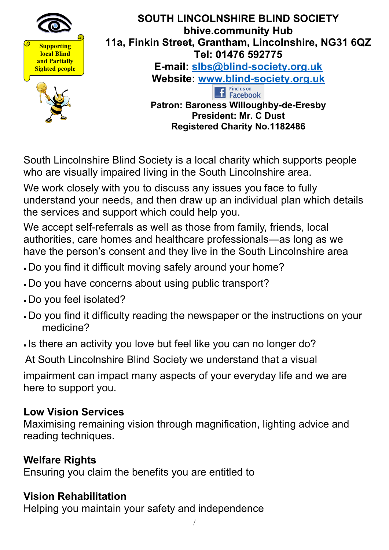

South Lincolnshire Blind Society is a local charity which supports people who are visually impaired living in the South Lincolnshire area.

We work closely with you to discuss any issues you face to fully understand your needs, and then draw up an individual plan which details the services and support which could help you.

We accept self-referrals as well as those from family, friends, local authorities, care homes and healthcare professionals—as long as we have the person's consent and they live in the South Lincolnshire area

- Do you find it difficult moving safely around your home?
- Do you have concerns about using public transport?
- Do you feel isolated?
- Do you find it difficulty reading the newspaper or the instructions on your medicine?
- Is there an activity you love but feel like you can no longer do?

At South Lincolnshire Blind Society we understand that a visual

impairment can impact many aspects of your everyday life and we are here to support you.

#### **Low Vision Services**

Maximising remaining vision through magnification, lighting advice and reading techniques.

#### **Welfare Rights**

Ensuring you claim the benefits you are entitled to

#### **Vision Rehabilitation**

Helping you maintain your safety and independence